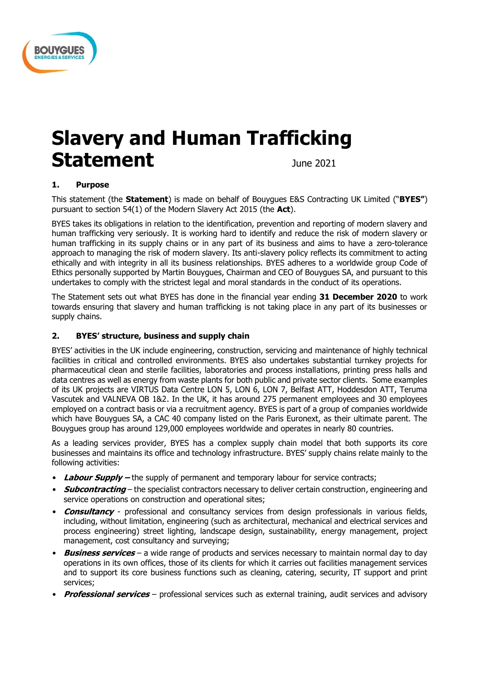

# **Slavery and Human Trafficking**  Statement **Statement**

## **1. Purpose**

This statement (the **Statement**) is made on behalf of Bouygues E&S Contracting UK Limited ("**BYES"**) pursuant to section 54(1) of the Modern Slavery Act 2015 (the **Act**).

BYES takes its obligations in relation to the identification, prevention and reporting of modern slavery and human trafficking very seriously. It is working hard to identify and reduce the risk of modern slavery or human trafficking in its supply chains or in any part of its business and aims to have a zero-tolerance approach to managing the risk of modern slavery. Its anti-slavery policy reflects its commitment to acting ethically and with integrity in all its business relationships. BYES adheres to a worldwide group Code of Ethics personally supported by Martin Bouygues, Chairman and CEO of Bouygues SA, and pursuant to this undertakes to comply with the strictest legal and moral standards in the conduct of its operations.

The Statement sets out what BYES has done in the financial year ending **31 December 2020** to work towards ensuring that slavery and human trafficking is not taking place in any part of its businesses or supply chains.

## **2. BYES' structure, business and supply chain**

BYES' activities in the UK include engineering, construction, servicing and maintenance of highly technical facilities in critical and controlled environments. BYES also undertakes substantial turnkey projects for pharmaceutical clean and sterile facilities, laboratories and process installations, printing press halls and data centres as well as energy from waste plants for both public and private sector clients. Some examples of its UK projects are VIRTUS Data Centre LON 5, LON 6, LON 7, Belfast ATT, Hoddesdon ATT, Teruma Vascutek and VALNEVA OB 1&2. In the UK, it has around 275 permanent employees and 30 employees employed on a contract basis or via a recruitment agency. BYES is part of a group of companies worldwide which have Bouygues SA, a CAC 40 company listed on the Paris Euronext, as their ultimate parent. The Bouygues group has around 129,000 employees worldwide and operates in nearly 80 countries.

As a leading services provider, BYES has a complex supply chain model that both supports its core businesses and maintains its office and technology infrastructure. BYES' supply chains relate mainly to the following activities:

- Labour **Supply** the supply of permanent and temporary labour for service contracts;
- **Subcontracting** the specialist contractors necessary to deliver certain construction, engineering and service operations on construction and operational sites;
- **Consultancy** professional and consultancy services from design professionals in various fields, including, without limitation, engineering (such as architectural, mechanical and electrical services and process engineering) street lighting, landscape design, sustainability, energy management, project management, cost consultancy and surveying;
- **Business services** a wide range of products and services necessary to maintain normal day to day operations in its own offices, those of its clients for which it carries out facilities management services and to support its core business functions such as cleaning, catering, security, IT support and print services;
- **Professional services** professional services such as external training, audit services and advisory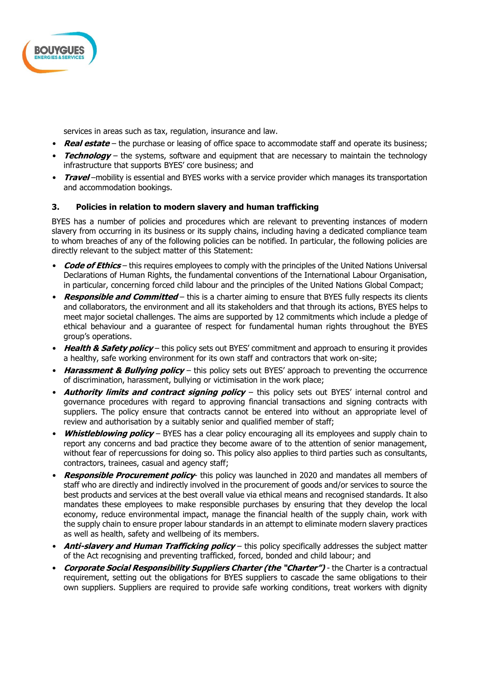

services in areas such as tax, regulation, insurance and law.

- **Real estate** the purchase or leasing of office space to accommodate staff and operate its business;
- **Technology** the systems, software and equipment that are necessary to maintain the technology infrastructure that supports BYES' core business; and
- **Travel** –mobility is essential and BYES works with a service provider which manages its transportation and accommodation bookings.

## **3. Policies in relation to modern slavery and human trafficking**

BYES has a number of policies and procedures which are relevant to preventing instances of modern slavery from occurring in its business or its supply chains, including having a dedicated compliance team to whom breaches of any of the following policies can be notified. In particular, the following policies are directly relevant to the subject matter of this Statement:

- **Code of Ethics** this requires employees to comply with the principles of the United Nations Universal Declarations of Human Rights, the fundamental conventions of the International Labour Organisation, in particular, concerning forced child labour and the principles of the United Nations Global Compact;
- **Responsible and Committed**  this is a charter aiming to ensure that BYES fully respects its clients and collaborators, the environment and all its stakeholders and that through its actions, BYES helps to meet major societal challenges. The aims are supported by 12 commitments which include a pledge of ethical behaviour and a guarantee of respect for fundamental human rights throughout the BYES group's operations.
- **Health & Safety policy** this policy sets out BYES' commitment and approach to ensuring it provides a healthy, safe working environment for its own staff and contractors that work on-site;
- **Harassment & Bullying policy** this policy sets out BYES' approach to preventing the occurrence of discrimination, harassment, bullying or victimisation in the work place;
- **Authority limits and contract signing policy**  this policy sets out BYES' internal control and governance procedures with regard to approving financial transactions and signing contracts with suppliers. The policy ensure that contracts cannot be entered into without an appropriate level of review and authorisation by a suitably senior and qualified member of staff;
- **Whistleblowing policy** BYES has a clear policy encouraging all its employees and supply chain to report any concerns and bad practice they become aware of to the attention of senior management, without fear of repercussions for doing so. This policy also applies to third parties such as consultants, contractors, trainees, casual and agency staff;
- **Responsible Procurement policy** this policy was launched in 2020 and mandates all members of staff who are directly and indirectly involved in the procurement of goods and/or services to source the best products and services at the best overall value via ethical means and recognised standards. It also mandates these employees to make responsible purchases by ensuring that they develop the local economy, reduce environmental impact, manage the financial health of the supply chain, work with the supply chain to ensure proper labour standards in an attempt to eliminate modern slavery practices as well as health, safety and wellbeing of its members.
- **Anti-slavery and Human Trafficking policy** this policy specifically addresses the subject matter of the Act recognising and preventing trafficked, forced, bonded and child labour; and
- **Corporate Social Responsibility Suppliers Charter (the "Charter")**  the Charter is a contractual requirement, setting out the obligations for BYES suppliers to cascade the same obligations to their own suppliers. Suppliers are required to provide safe working conditions, treat workers with dignity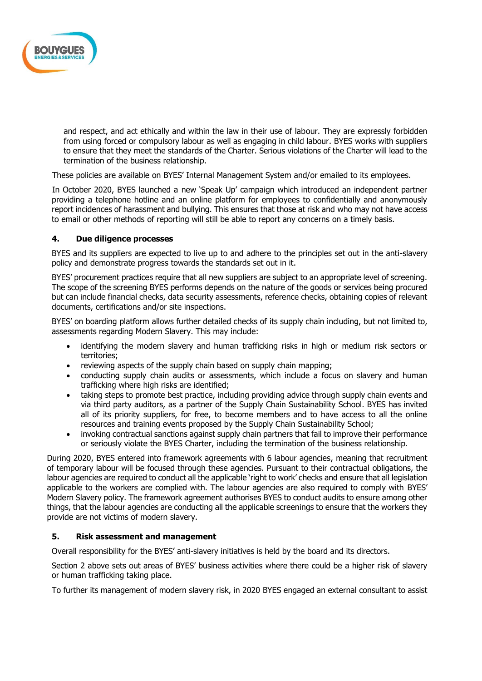

and respect, and act ethically and within the law in their use of labour. They are expressly forbidden from using forced or compulsory labour as well as engaging in child labour. BYES works with suppliers to ensure that they meet the standards of the Charter. Serious violations of the Charter will lead to the termination of the business relationship.

These policies are available on BYES' Internal Management System and/or emailed to its employees.

In October 2020, BYES launched a new 'Speak Up' campaign which introduced an independent partner providing a telephone hotline and an online platform for employees to confidentially and anonymously report incidences of harassment and bullying. This ensures that those at risk and who may not have access to email or other methods of reporting will still be able to report any concerns on a timely basis.

#### **4. Due diligence processes**

BYES and its suppliers are expected to live up to and adhere to the principles set out in the anti-slavery policy and demonstrate progress towards the standards set out in it.

BYES' procurement practices require that all new suppliers are subject to an appropriate level of screening. The scope of the screening BYES performs depends on the nature of the goods or services being procured but can include financial checks, data security assessments, reference checks, obtaining copies of relevant documents, certifications and/or site inspections.

BYES' on boarding platform allows further detailed checks of its supply chain including, but not limited to, assessments regarding Modern Slavery. This may include:

- identifying the modern slavery and human trafficking risks in high or medium risk sectors or territories;
- reviewing aspects of the supply chain based on supply chain mapping;
- conducting supply chain audits or assessments, which include a focus on slavery and human trafficking where high risks are identified;
- taking steps to promote best practice, including providing advice through supply chain events and via third party auditors, as a partner of the Supply Chain Sustainability School. BYES has invited all of its priority suppliers, for free, to become members and to have access to all the online resources and training events proposed by the Supply Chain Sustainability School;
- invoking contractual sanctions against supply chain partners that fail to improve their performance or seriously violate the BYES Charter, including the termination of the business relationship.

During 2020, BYES entered into framework agreements with 6 labour agencies, meaning that recruitment of temporary labour will be focused through these agencies. Pursuant to their contractual obligations, the labour agencies are required to conduct all the applicable 'right to work' checks and ensure that all legislation applicable to the workers are complied with. The labour agencies are also required to comply with BYES' Modern Slavery policy. The framework agreement authorises BYES to conduct audits to ensure among other things, that the labour agencies are conducting all the applicable screenings to ensure that the workers they provide are not victims of modern slavery.

## **5. Risk assessment and management**

Overall responsibility for the BYES' anti-slavery initiatives is held by the board and its directors.

Section 2 above sets out areas of BYES' business activities where there could be a higher risk of slavery or human trafficking taking place.

To further its management of modern slavery risk, in 2020 BYES engaged an external consultant to assist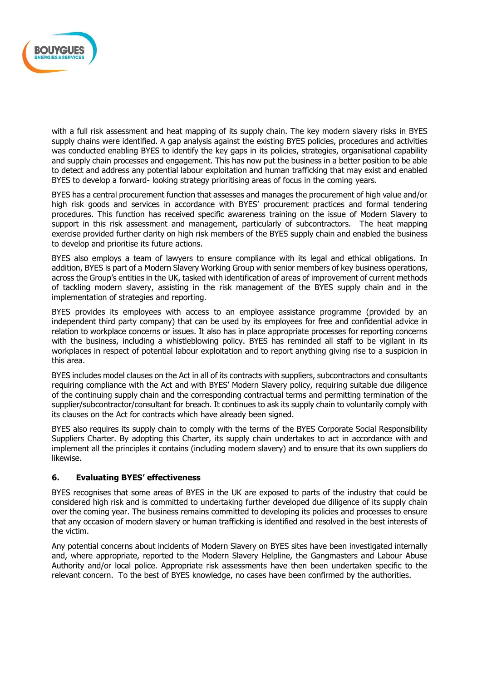

with a full risk assessment and heat mapping of its supply chain. The key modern slavery risks in BYES supply chains were identified. A gap analysis against the existing BYES policies, procedures and activities was conducted enabling BYES to identify the key gaps in its policies, strategies, organisational capability and supply chain processes and engagement. This has now put the business in a better position to be able to detect and address any potential labour exploitation and human trafficking that may exist and enabled BYES to develop a forward- looking strategy prioritising areas of focus in the coming years.

BYES has a central procurement function that assesses and manages the procurement of high value and/or high risk goods and services in accordance with BYES' procurement practices and formal tendering procedures. This function has received specific awareness training on the issue of Modern Slavery to support in this risk assessment and management, particularly of subcontractors. The heat mapping exercise provided further clarity on high risk members of the BYES supply chain and enabled the business to develop and prioritise its future actions.

BYES also employs a team of lawyers to ensure compliance with its legal and ethical obligations. In addition, BYES is part of a Modern Slavery Working Group with senior members of key business operations, across the Group's entities in the UK, tasked with identification of areas of improvement of current methods of tackling modern slavery, assisting in the risk management of the BYES supply chain and in the implementation of strategies and reporting.

BYES provides its employees with access to an employee assistance programme (provided by an independent third party company) that can be used by its employees for free and confidential advice in relation to workplace concerns or issues. It also has in place appropriate processes for reporting concerns with the business, including a whistleblowing policy. BYES has reminded all staff to be vigilant in its workplaces in respect of potential labour exploitation and to report anything giving rise to a suspicion in this area.

BYES includes model clauses on the Act in all of its contracts with suppliers, subcontractors and consultants requiring compliance with the Act and with BYES' Modern Slavery policy, requiring suitable due diligence of the continuing supply chain and the corresponding contractual terms and permitting termination of the supplier/subcontractor/consultant for breach. It continues to ask its supply chain to voluntarily comply with its clauses on the Act for contracts which have already been signed.

BYES also requires its supply chain to comply with the terms of the BYES Corporate Social Responsibility Suppliers Charter. By adopting this Charter, its supply chain undertakes to act in accordance with and implement all the principles it contains (including modern slavery) and to ensure that its own suppliers do likewise.

## **6. Evaluating BYES' effectiveness**

BYES recognises that some areas of BYES in the UK are exposed to parts of the industry that could be considered high risk and is committed to undertaking further developed due diligence of its supply chain over the coming year. The business remains committed to developing its policies and processes to ensure that any occasion of modern slavery or human trafficking is identified and resolved in the best interests of the victim.

Any potential concerns about incidents of Modern Slavery on BYES sites have been investigated internally and, where appropriate, reported to the Modern Slavery Helpline, the Gangmasters and Labour Abuse Authority and/or local police. Appropriate risk assessments have then been undertaken specific to the relevant concern. To the best of BYES knowledge, no cases have been confirmed by the authorities.